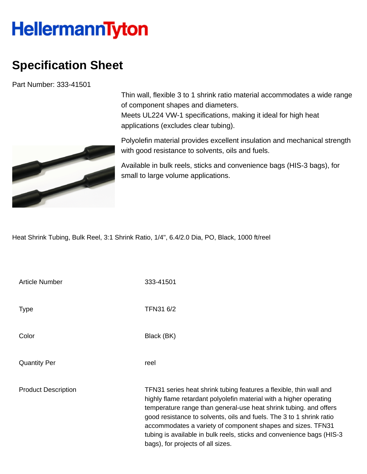## **HellermannTyton**

## **Specification Sheet**

Part Number: 333-41501



Thin wall, flexible 3 to 1 shrink ratio material accommodates a wide range of component shapes and diameters. Meets UL224 VW-1 specifications, making it ideal for high heat applications (excludes clear tubing).

Polyolefin material provides excellent insulation and mechanical strength with good resistance to solvents, oils and fuels.

Available in bulk reels, sticks and convenience bags (HIS-3 bags), for small to large volume applications.

Heat Shrink Tubing, Bulk Reel, 3:1 Shrink Ratio, 1/4", 6.4/2.0 Dia, PO, Black, 1000 ft/reel

| <b>Article Number</b>      | 333-41501                                                                                                                                                                                                                                                                                                                                                                                                                                                           |
|----------------------------|---------------------------------------------------------------------------------------------------------------------------------------------------------------------------------------------------------------------------------------------------------------------------------------------------------------------------------------------------------------------------------------------------------------------------------------------------------------------|
| <b>Type</b>                | TFN31 6/2                                                                                                                                                                                                                                                                                                                                                                                                                                                           |
| Color                      | Black (BK)                                                                                                                                                                                                                                                                                                                                                                                                                                                          |
| <b>Quantity Per</b>        | reel                                                                                                                                                                                                                                                                                                                                                                                                                                                                |
| <b>Product Description</b> | TFN31 series heat shrink tubing features a flexible, thin wall and<br>highly flame retardant polyolefin material with a higher operating<br>temperature range than general-use heat shrink tubing. and offers<br>good resistance to solvents, oils and fuels. The 3 to 1 shrink ratio<br>accommodates a variety of component shapes and sizes. TFN31<br>tubing is available in bulk reels, sticks and convenience bags (HIS-3)<br>bags), for projects of all sizes. |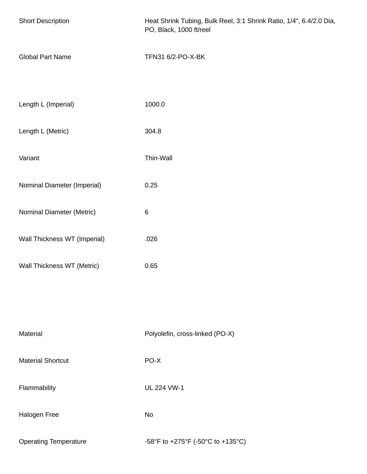| <b>Short Description</b>     | Heat Shrink Tubing, Bulk Reel, 3:1 Shrink Ratio, 1/4", 6.4/2.0 Dia,<br>PO, Black, 1000 ft/reel |  |
|------------------------------|------------------------------------------------------------------------------------------------|--|
| <b>Global Part Name</b>      | TFN31 6/2-PO-X-BK                                                                              |  |
| Length L (Imperial)          | 1000.0                                                                                         |  |
| Length L (Metric)            | 304.8                                                                                          |  |
| Variant                      | Thin-Wall                                                                                      |  |
| Nominal Diameter (Imperial)  | 0.25                                                                                           |  |
| Nominal Diameter (Metric)    | $\,6$                                                                                          |  |
| Wall Thickness WT (Imperial) | .026                                                                                           |  |
| Wall Thickness WT (Metric)   | 0.65                                                                                           |  |
|                              |                                                                                                |  |
| Material                     | Polyolefin, cross-linked (PO-X)                                                                |  |
| <b>Material Shortcut</b>     | PO-X                                                                                           |  |
| Flammability                 | <b>UL 224 VW-1</b>                                                                             |  |
| Halogen Free                 | <b>No</b>                                                                                      |  |
| <b>Operating Temperature</b> | -58°F to +275°F (-50°C to +135°C)                                                              |  |